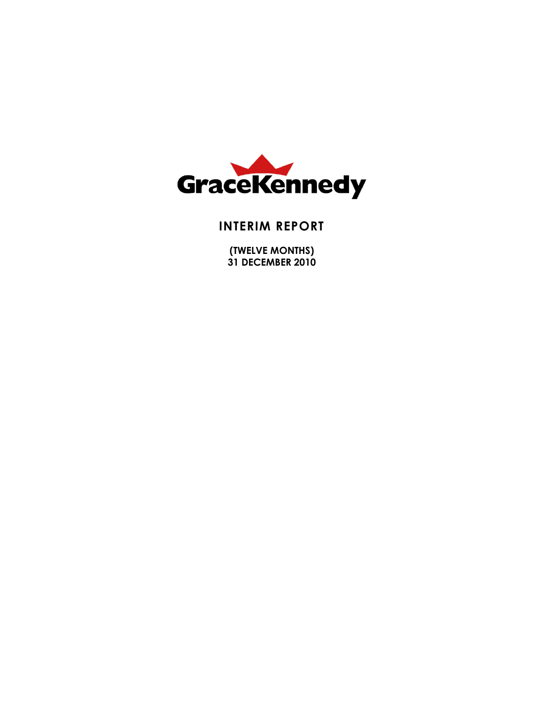

### **INTERIM REPORT**

**(TWELVE MONTHS) 31 DECEMBER 2010**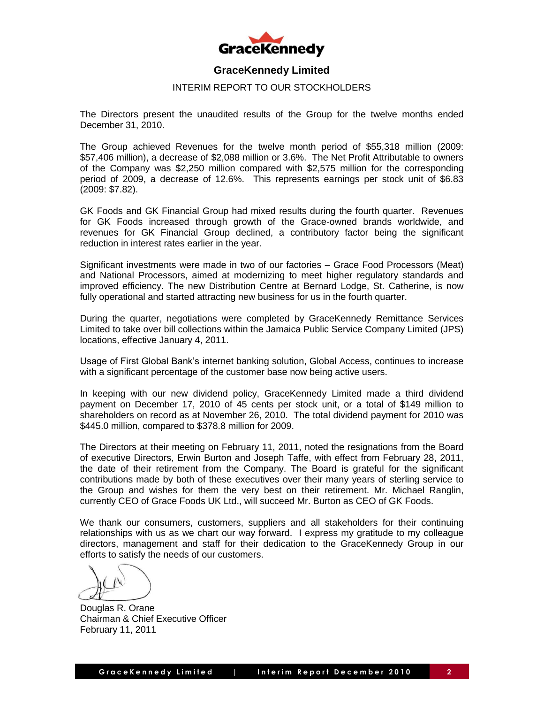

#### INTERIM REPORT TO OUR STOCKHOLDERS

The Directors present the unaudited results of the Group for the twelve months ended December 31, 2010.

The Group achieved Revenues for the twelve month period of \$55,318 million (2009: \$57,406 million), a decrease of \$2,088 million or 3.6%. The Net Profit Attributable to owners of the Company was \$2,250 million compared with \$2,575 million for the corresponding period of 2009, a decrease of 12.6%. This represents earnings per stock unit of \$6.83 (2009: \$7.82).

GK Foods and GK Financial Group had mixed results during the fourth quarter. Revenues for GK Foods increased through growth of the Grace-owned brands worldwide, and revenues for GK Financial Group declined, a contributory factor being the significant reduction in interest rates earlier in the year.

Significant investments were made in two of our factories – Grace Food Processors (Meat) and National Processors, aimed at modernizing to meet higher regulatory standards and improved efficiency. The new Distribution Centre at Bernard Lodge, St. Catherine, is now fully operational and started attracting new business for us in the fourth quarter.

During the quarter, negotiations were completed by GraceKennedy Remittance Services Limited to take over bill collections within the Jamaica Public Service Company Limited (JPS) locations, effective January 4, 2011.

Usage of First Global Bank's internet banking solution, Global Access, continues to increase with a significant percentage of the customer base now being active users.

In keeping with our new dividend policy, GraceKennedy Limited made a third dividend payment on December 17, 2010 of 45 cents per stock unit, or a total of \$149 million to shareholders on record as at November 26, 2010. The total dividend payment for 2010 was \$445.0 million, compared to \$378.8 million for 2009.

The Directors at their meeting on February 11, 2011, noted the resignations from the Board of executive Directors, Erwin Burton and Joseph Taffe, with effect from February 28, 2011, the date of their retirement from the Company. The Board is grateful for the significant contributions made by both of these executives over their many years of sterling service to the Group and wishes for them the very best on their retirement. Mr. Michael Ranglin, currently CEO of Grace Foods UK Ltd., will succeed Mr. Burton as CEO of GK Foods.

We thank our consumers, customers, suppliers and all stakeholders for their continuing relationships with us as we chart our way forward. I express my gratitude to my colleague directors, management and staff for their dedication to the GraceKennedy Group in our efforts to satisfy the needs of our customers.

Douglas R. Orane Chairman & Chief Executive Officer February 11, 2011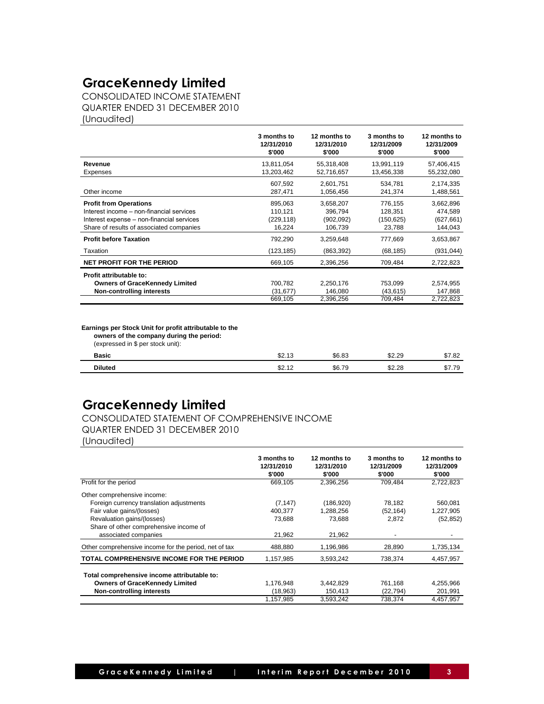CONSOLIDATED INCOME STATEMENT QUARTER ENDED 31 DECEMBER 2010 (Unaudited)

|                                           | 3 months to<br>12/31/2010<br>\$'000 | 12 months to<br>12/31/2010<br>\$'000 | 3 months to<br>12/31/2009<br>\$'000 | 12 months to<br>12/31/2009<br>\$'000 |
|-------------------------------------------|-------------------------------------|--------------------------------------|-------------------------------------|--------------------------------------|
| Revenue                                   | 13,811,054                          | 55,318,408                           | 13,991,119                          | 57,406,415                           |
| Expenses                                  | 13,203,462                          | 52,716,657                           | 13,456,338                          | 55,232,080                           |
|                                           | 607,592                             | 2,601,751                            | 534,781                             | 2,174,335                            |
| Other income                              | 287,471                             | 1,056,456                            | 241,374                             | 1,488,561                            |
| <b>Profit from Operations</b>             | 895.063                             | 3,658,207                            | 776.155                             | 3,662,896                            |
| Interest income – non-financial services  | 110,121                             | 396,794                              | 128,351                             | 474,589                              |
| Interest expense – non-financial services | (229, 118)                          | (902,092)                            | (150, 625)                          | (627, 661)                           |
| Share of results of associated companies  | 16,224                              | 106,739                              | 23,788                              | 144,043                              |
| <b>Profit before Taxation</b>             | 792,290                             | 3,259,648                            | 777,669                             | 3,653,867                            |
| Taxation                                  | (123, 185)                          | (863, 392)                           | (68, 185)                           | (931, 044)                           |
| <b>NET PROFIT FOR THE PERIOD</b>          | 669,105                             | 2,396,256                            | 709,484                             | 2,722,823                            |
| Profit attributable to:                   |                                     |                                      |                                     |                                      |
| <b>Owners of GraceKennedy Limited</b>     | 700,782                             | 2,250,176                            | 753,099                             | 2,574,955                            |
| <b>Non-controlling interests</b>          | (31, 677)                           | 146,080                              | (43, 615)                           | 147,868                              |
|                                           | 669,105                             | 2,396,256                            | 709,484                             | 2,722,823                            |

**Earnings per Stock Unit for profit attributable to the**

 **owners of the company during the period:**

(expressed in \$ per stock unit):

| \$7.82 |
|--------|
| \$7.79 |
|        |

### **GraceKennedy Limited**

#### CONSOLIDATED STATEMENT OF COMPREHENSIVE INCOME QUARTER ENDED 31 DECEMBER 2010

(Unaudited)

|                                                       | 3 months to<br>12/31/2010<br>\$'000 | 12 months to<br>12/31/2010<br>\$'000 | 3 months to<br>12/31/2009<br>\$'000 | 12 months to<br>12/31/2009<br>\$'000 |
|-------------------------------------------------------|-------------------------------------|--------------------------------------|-------------------------------------|--------------------------------------|
| Profit for the period                                 | 669.105                             | 2,396,256                            | 709.484                             | 2,722,823                            |
| Other comprehensive income:                           |                                     |                                      |                                     |                                      |
| Foreign currency translation adjustments              | (7, 147)                            | (186, 920)                           | 78,182                              | 560,081                              |
| Fair value gains/(losses)                             | 400.377                             | 1,288,256                            | (52, 164)                           | 1,227,905                            |
| Revaluation gains/(losses)                            | 73,688                              | 73,688                               | 2,872                               | (52, 852)                            |
| Share of other comprehensive income of                |                                     |                                      |                                     |                                      |
| associated companies                                  | 21.962                              | 21,962                               |                                     |                                      |
| Other comprehensive income for the period, net of tax | 488,880                             | 1,196,986                            | 28,890                              | 1,735,134                            |
| TOTAL COMPREHENSIVE INCOME FOR THE PERIOD             | 1,157,985                           | 3,593,242                            | 738,374                             | 4,457,957                            |
| Total comprehensive income attributable to:           |                                     |                                      |                                     |                                      |
| <b>Owners of GraceKennedy Limited</b>                 | 1.176.948                           | 3.442.829                            | 761,168                             | 4,255,966                            |
| Non-controlling interests                             | (18,963)                            | 150,413                              | (22, 794)                           | 201,991                              |
|                                                       | 1,157,985                           | 3,593,242                            | 738,374                             | 4,457,957                            |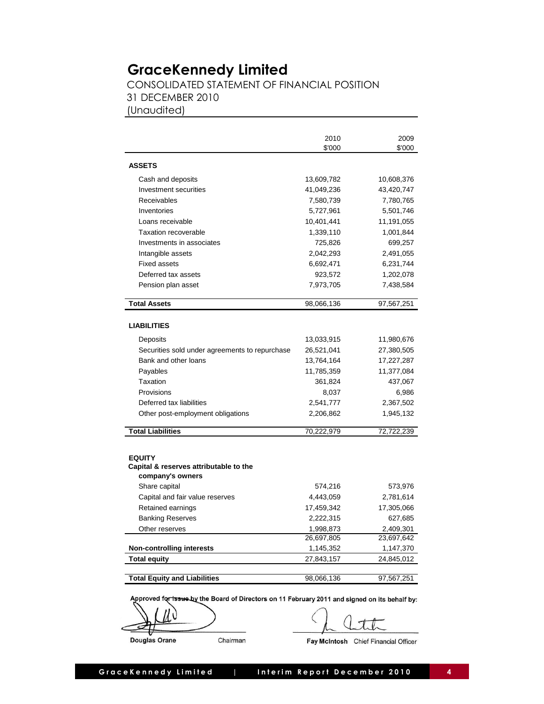CONSOLIDATED STATEMENT OF FINANCIAL POSITION 31 DECEMBER 2010 (Unaudited)

|                                                                             | 2010       | 2009       |
|-----------------------------------------------------------------------------|------------|------------|
|                                                                             | \$'000     | \$'000     |
| <b>ASSETS</b>                                                               |            |            |
| Cash and deposits                                                           | 13,609,782 | 10,608,376 |
| Investment securities                                                       | 41,049,236 | 43,420,747 |
| Receivables                                                                 | 7,580,739  | 7,780,765  |
| Inventories                                                                 | 5,727,961  | 5,501,746  |
| Loans receivable                                                            | 10,401,441 | 11,191,055 |
| Taxation recoverable                                                        | 1,339,110  | 1,001,844  |
| Investments in associates                                                   | 725,826    | 699,257    |
| Intangible assets                                                           | 2,042,293  | 2,491,055  |
| <b>Fixed assets</b>                                                         | 6,692,471  | 6,231,744  |
| Deferred tax assets                                                         | 923,572    | 1,202,078  |
| Pension plan asset                                                          | 7,973,705  | 7,438,584  |
|                                                                             |            |            |
| <b>Total Assets</b>                                                         | 98,066,136 | 97,567,251 |
| <b>LIABILITIES</b>                                                          |            |            |
| Deposits                                                                    | 13,033,915 | 11,980,676 |
| Securities sold under agreements to repurchase                              | 26,521,041 | 27,380,505 |
| Bank and other loans                                                        | 13,764,164 | 17,227,287 |
| Payables                                                                    | 11,785,359 | 11,377,084 |
| Taxation                                                                    | 361,824    | 437,067    |
| Provisions                                                                  | 8,037      | 6,986      |
| Deferred tax liabilities                                                    | 2,541,777  | 2,367,502  |
| Other post-employment obligations                                           | 2,206,862  | 1,945,132  |
| <b>Total Liabilities</b>                                                    | 70,222,979 | 72,722,239 |
|                                                                             |            |            |
| <b>EQUITY</b><br>Capital & reserves attributable to the<br>company's owners |            |            |
| Share capital                                                               | 574,216    | 573,976    |
| Capital and fair value reserves                                             | 4,443,059  | 2,781,614  |
| Retained earnings                                                           | 17,459,342 | 17,305,066 |
| <b>Banking Reserves</b>                                                     | 2,222,315  | 627,685    |
| Other reserves                                                              | 1,998,873  | 2,409,301  |
|                                                                             | 26,697,805 | 23,697,642 |
| <b>Non-controlling interests</b>                                            | 1,145,352  | 1,147,370  |
| <b>Total equity</b>                                                         | 27,843,157 | 24,845,012 |
|                                                                             |            |            |
| <b>Total Equity and Liabilities</b>                                         | 98,066,136 | 97,567,251 |
|                                                                             |            |            |

Approved for issue by the Board of Directors on 11 February 2011 and signed on its behalf by:

Chairman

Douglas Orane

Fay McIntosh Chief Financial Officer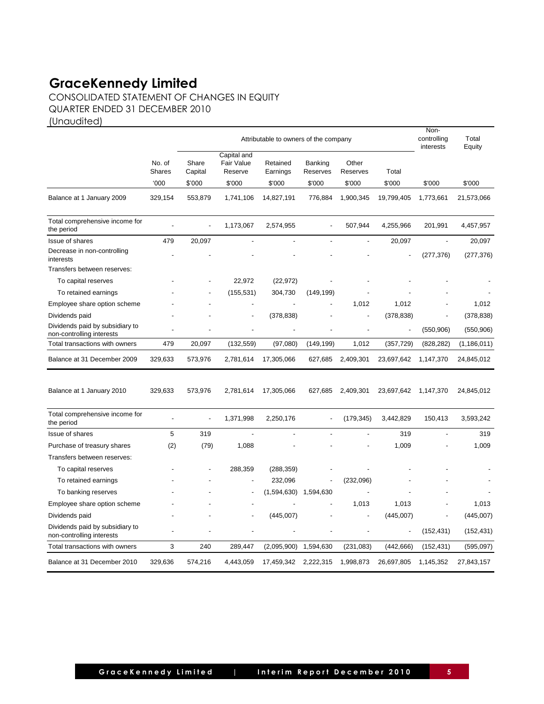CONSOLIDATED STATEMENT OF CHANGES IN EQUITY QUARTER ENDED 31 DECEMBER 2010

(Unaudited)

|                                                              | Attributable to owners of the company |                  |                                      |                      |                            | Non-<br>controlling<br>interests |                |                          |               |  |  |  |
|--------------------------------------------------------------|---------------------------------------|------------------|--------------------------------------|----------------------|----------------------------|----------------------------------|----------------|--------------------------|---------------|--|--|--|
|                                                              | No. of<br><b>Shares</b>               | Share<br>Capital | Capital and<br>Fair Value<br>Reserve | Retained<br>Earnings | <b>Banking</b><br>Reserves | Other<br>Reserves                | Total          |                          |               |  |  |  |
|                                                              | 000                                   | \$'000           | \$'000                               | \$'000               | \$'000                     | \$'000                           | \$'000         | \$'000                   | \$'000        |  |  |  |
| Balance at 1 January 2009                                    | 329,154                               | 553,879          | 1,741,106                            | 14,827,191           | 776,884                    | 1,900,345                        | 19,799,405     | 1,773,661                | 21,573,066    |  |  |  |
| Total comprehensive income for<br>the period                 |                                       |                  | 1,173,067                            | 2,574,955            |                            | 507,944                          | 4,255,966      | 201,991                  | 4,457,957     |  |  |  |
| Issue of shares                                              | 479                                   | 20,097           |                                      | $\overline{a}$       | $\overline{a}$             |                                  | 20,097         | ÷,                       | 20,097        |  |  |  |
| Decrease in non-controlling<br>interests                     |                                       |                  |                                      |                      |                            |                                  |                | (277, 376)               | (277, 376)    |  |  |  |
| Transfers between reserves:                                  |                                       |                  |                                      |                      |                            |                                  |                |                          |               |  |  |  |
| To capital reserves                                          |                                       |                  | 22,972                               | (22, 972)            |                            |                                  |                |                          |               |  |  |  |
| To retained earnings                                         |                                       |                  | (155, 531)                           | 304,730              | (149, 199)                 |                                  |                |                          |               |  |  |  |
| Employee share option scheme                                 |                                       |                  |                                      |                      |                            | 1,012                            | 1,012          |                          | 1,012         |  |  |  |
| Dividends paid                                               |                                       |                  | $\overline{\phantom{a}}$             | (378, 838)           |                            |                                  | (378, 838)     | $\overline{\phantom{a}}$ | (378, 838)    |  |  |  |
| Dividends paid by subsidiary to<br>non-controlling interests |                                       |                  |                                      |                      |                            |                                  | Ĭ.             | (550, 906)               | (550, 906)    |  |  |  |
| Total transactions with owners                               | 479                                   | 20,097           | (132, 559)                           | (97,080)             | (149, 199)                 | 1,012                            | (357, 729)     | (828, 282)               | (1, 186, 011) |  |  |  |
| Balance at 31 December 2009                                  | 329,633                               | 573,976          | 2,781,614                            | 17,305,066           | 627,685                    | 2,409,301                        | 23,697,642     | 1,147,370                | 24,845,012    |  |  |  |
| Balance at 1 January 2010                                    | 329,633                               | 573,976          | 2,781,614                            | 17,305,066           | 627,685                    | 2,409,301                        | 23,697,642     | 1,147,370                | 24,845,012    |  |  |  |
| Total comprehensive income for<br>the period                 |                                       | $\overline{a}$   | 1,371,998                            | 2,250,176            |                            | (179, 345)                       | 3,442,829      | 150,413                  | 3,593,242     |  |  |  |
| Issue of shares                                              | 5                                     | 319              |                                      |                      |                            |                                  | 319            |                          | 319           |  |  |  |
| Purchase of treasury shares                                  | (2)                                   | (79)             | 1,088                                |                      |                            |                                  | 1,009          |                          | 1,009         |  |  |  |
| Transfers between reserves:                                  |                                       |                  |                                      |                      |                            |                                  |                |                          |               |  |  |  |
| To capital reserves                                          |                                       |                  | 288,359                              | (288, 359)           |                            |                                  |                |                          |               |  |  |  |
| To retained earnings                                         |                                       |                  | $\overline{\phantom{a}}$             | 232,096              |                            | (232,096)                        |                |                          |               |  |  |  |
| To banking reserves                                          |                                       |                  |                                      | (1,594,630)          | 1,594,630                  |                                  |                |                          |               |  |  |  |
| Employee share option scheme                                 |                                       |                  |                                      |                      |                            | 1,013                            | 1,013          |                          | 1,013         |  |  |  |
| Dividends paid                                               |                                       |                  |                                      | (445,007)            |                            |                                  | (445,007)      |                          | (445,007)     |  |  |  |
| Dividends paid by subsidiary to<br>non-controlling interests |                                       |                  |                                      |                      |                            |                                  | $\overline{a}$ | (152, 431)               | (152, 431)    |  |  |  |
| Total transactions with owners                               | 3                                     | 240              | 289,447                              | (2,095,900)          | 1,594,630                  | (231, 083)                       | (442, 666)     | (152, 431)               | (595,097)     |  |  |  |
| Balance at 31 December 2010                                  | 329.636                               | 574,216          | 4,443,059                            | 17,459,342           | 2,222,315                  | 1,998,873                        | 26,697,805     | 1,145,352                | 27,843,157    |  |  |  |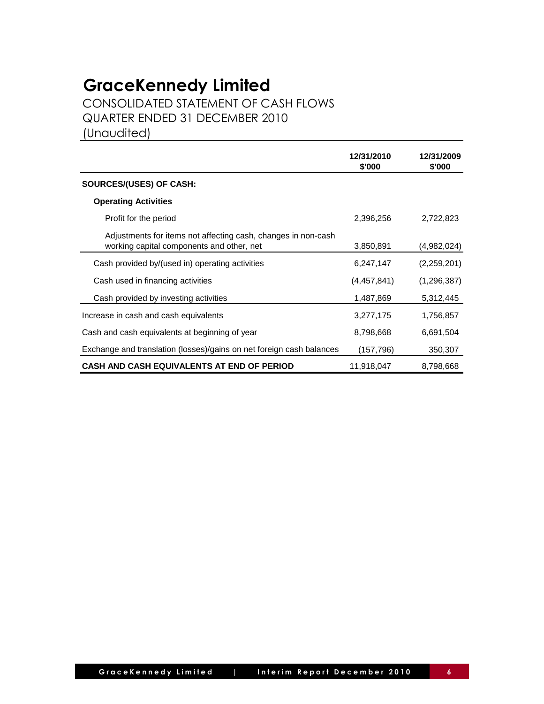CONSOLIDATED STATEMENT OF CASH FLOWS QUARTER ENDED 31 DECEMBER 2010

(Unaudited)

|                                                                                                            | 12/31/2010<br>\$'000 | 12/31/2009<br>\$'000 |
|------------------------------------------------------------------------------------------------------------|----------------------|----------------------|
| SOURCES/(USES) OF CASH:                                                                                    |                      |                      |
| <b>Operating Activities</b>                                                                                |                      |                      |
| Profit for the period                                                                                      | 2,396,256            | 2,722,823            |
| Adjustments for items not affecting cash, changes in non-cash<br>working capital components and other, net | 3,850,891            | (4,982,024)          |
| Cash provided by/(used in) operating activities                                                            | 6,247,147            | (2,259,201)          |
| Cash used in financing activities                                                                          | (4,457,841)          | (1,296,387)          |
| Cash provided by investing activities                                                                      | 1,487,869            | 5,312,445            |
| Increase in cash and cash equivalents                                                                      | 3,277,175            | 1,756,857            |
| Cash and cash equivalents at beginning of year                                                             | 8,798,668            | 6,691,504            |
| Exchange and translation (losses)/gains on net foreign cash balances                                       | (157, 796)           | 350,307              |
| CASH AND CASH EQUIVALENTS AT END OF PERIOD                                                                 | 11,918,047           | 8,798,668            |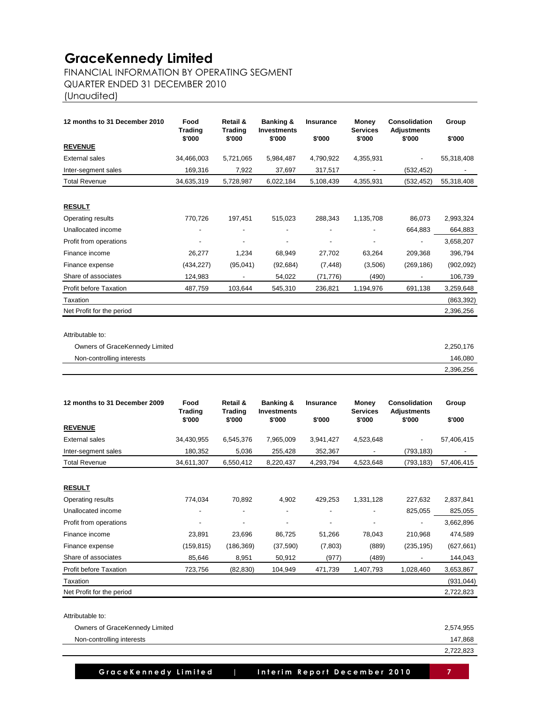## FINANCIAL INFORMATION BY OPERATING SEGMENT

QUARTER ENDED 31 DECEMBER 2010

(Unaudited)

| 12 months to 31 December 2010  | Food       | Retail &<br>Banking &<br><b>Trading</b><br><b>Trading</b><br><b>Investments</b> |                          | <b>Insurance</b> | Money<br><b>Services</b> | Consolidation<br><b>Adjustments</b> | Group      |
|--------------------------------|------------|---------------------------------------------------------------------------------|--------------------------|------------------|--------------------------|-------------------------------------|------------|
|                                | \$'000     | \$'000                                                                          | \$'000                   | \$'000           | \$'000                   | \$'000                              | \$'000     |
| <b>REVENUE</b>                 |            |                                                                                 |                          |                  |                          |                                     |            |
| <b>External sales</b>          | 34,466,003 | 5,721,065                                                                       | 5,984,487                | 4,790,922        | 4,355,931                | $\overline{\phantom{0}}$            | 55,318,408 |
| Inter-segment sales            | 169,316    | 7,922                                                                           | 37,697                   | 317,517          | $\overline{\phantom{a}}$ | (532, 452)                          |            |
| <b>Total Revenue</b>           | 34,635,319 | 5,728,987                                                                       | 6,022,184                | 5,108,439        | 4,355,931                | (532, 452)                          | 55,318,408 |
| <b>RESULT</b>                  |            |                                                                                 |                          |                  |                          |                                     |            |
| Operating results              | 770,726    | 197,451                                                                         | 515,023                  | 288,343          | 1,135,708                | 86,073                              | 2,993,324  |
| Unallocated income             |            | $\overline{\phantom{a}}$                                                        | $\overline{\phantom{0}}$ | -                |                          | 664,883                             | 664,883    |
| Profit from operations         |            |                                                                                 |                          |                  |                          | $\overline{\phantom{0}}$            | 3,658,207  |
| Finance income                 | 26,277     | 1,234                                                                           | 68,949                   | 27,702           | 63,264                   | 209,368                             | 396,794    |
| Finance expense                | (434, 227) | (95,041)                                                                        | (92, 684)                | (7, 448)         | (3,506)                  | (269, 186)                          | (902, 092) |
| Share of associates            | 124,983    |                                                                                 | 54,022                   | (71, 776)        | (490)                    |                                     | 106,739    |
| <b>Profit before Taxation</b>  | 487,759    | 103.644                                                                         | 545,310                  | 236,821          | 1,194,976                | 691,138                             | 3,259,648  |
| Taxation                       |            |                                                                                 |                          |                  |                          |                                     | (863, 392) |
| Net Profit for the period      |            |                                                                                 |                          |                  |                          |                                     | 2,396,256  |
| Attributable to:               |            |                                                                                 |                          |                  |                          |                                     |            |
| Owners of GraceKennedy Limited |            |                                                                                 |                          |                  |                          |                                     | 2,250,176  |

| $\ddotsc$<br><sup>1</sup> interests<br>Non<br>-controllina | ∩ء∩<br>$\sqrt{11}$ |
|------------------------------------------------------------|--------------------|
|                                                            | 256<br>396<br>.    |

| 12 months to 31 December 2009 | Food<br><b>Trading</b><br>\$'000 | Retail &<br>Trading<br>\$'000 | <b>Banking &amp;</b><br><b>Investments</b><br>\$'000 | <b>Insurance</b><br>\$'000 | Money<br><b>Services</b><br>\$'000 | Consolidation<br><b>Adjustments</b><br>\$'000 | Group<br>\$'000 |
|-------------------------------|----------------------------------|-------------------------------|------------------------------------------------------|----------------------------|------------------------------------|-----------------------------------------------|-----------------|
| <b>REVENUE</b>                |                                  |                               |                                                      |                            |                                    |                                               |                 |
| External sales                | 34,430,955                       | 6,545,376                     | 7,965,009                                            | 3,941,427                  | 4,523,648                          |                                               | 57,406,415      |
| Inter-segment sales           | 180,352                          | 5,036                         | 255,428                                              | 352,367                    |                                    | (793,183)                                     |                 |
| <b>Total Revenue</b>          | 34,611,307                       | 6,550,412                     | 8,220,437                                            | 4,293,794                  | 4,523,648                          | (793, 183)                                    | 57,406,415      |
|                               |                                  |                               |                                                      |                            |                                    |                                               |                 |
| <b>RESULT</b>                 |                                  |                               |                                                      |                            |                                    |                                               |                 |
| Operating results             | 774,034                          | 70,892                        | 4,902                                                | 429,253                    | 1,331,128                          | 227,632                                       | 2,837,841       |
| Unallocated income            |                                  |                               | $\overline{\phantom{a}}$                             |                            |                                    | 825,055                                       | 825,055         |
| Profit from operations        |                                  | $\overline{\phantom{a}}$      | $\overline{\phantom{a}}$                             |                            |                                    |                                               | 3,662,896       |
| Finance income                | 23,891                           | 23,696                        | 86,725                                               | 51,266                     | 78,043                             | 210,968                                       | 474,589         |
| Finance expense               | (159, 815)                       | (186, 369)                    | (37, 590)                                            | (7,803)                    | (889)                              | (235, 195)                                    | (627, 661)      |
| Share of associates           | 85,646                           | 8,951                         | 50,912                                               | (977)                      | (489)                              |                                               | 144,043         |
| Profit before Taxation        | 723,756                          | (82, 830)                     | 104,949                                              | 471,739                    | 1,407,793                          | 1,028,460                                     | 3,653,867       |
| Taxation                      |                                  |                               |                                                      |                            |                                    |                                               | (931, 044)      |
| Net Profit for the period     |                                  |                               |                                                      |                            |                                    |                                               | 2,722,823       |

Attributable to:

| Owners of GraceKennedy Limited | 2,574,955 |
|--------------------------------|-----------|
| Non-controlling interests      | 147.868   |
|                                | 2,722,823 |

 **GraceKennedy Limited | Interim Report December 2010 | 7**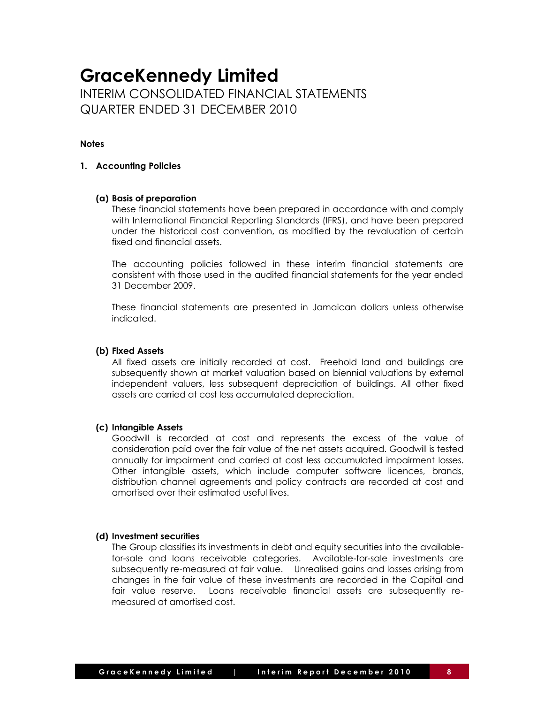## **GraceKennedy Limited** INTERIM CONSOLIDATED FINANCIAL STATEMENTS

QUARTER ENDED 31 DECEMBER 2010

#### **Notes**

#### **1. Accounting Policies**

#### **(a) Basis of preparation**

These financial statements have been prepared in accordance with and comply with International Financial Reporting Standards (IFRS), and have been prepared under the historical cost convention, as modified by the revaluation of certain fixed and financial assets.

The accounting policies followed in these interim financial statements are consistent with those used in the audited financial statements for the year ended 31 December 2009.

These financial statements are presented in Jamaican dollars unless otherwise indicated.

#### **(b) Fixed Assets**

All fixed assets are initially recorded at cost. Freehold land and buildings are subsequently shown at market valuation based on biennial valuations by external independent valuers, less subsequent depreciation of buildings. All other fixed assets are carried at cost less accumulated depreciation.

#### **(c) Intangible Assets**

Goodwill is recorded at cost and represents the excess of the value of consideration paid over the fair value of the net assets acquired. Goodwill is tested annually for impairment and carried at cost less accumulated impairment losses. Other intangible assets, which include computer software licences, brands, distribution channel agreements and policy contracts are recorded at cost and amortised over their estimated useful lives.

#### **(d) Investment securities**

The Group classifies its investments in debt and equity securities into the availablefor-sale and loans receivable categories. Available-for-sale investments are subsequently re-measured at fair value. Unrealised gains and losses arising from changes in the fair value of these investments are recorded in the Capital and fair value reserve. Loans receivable financial assets are subsequently remeasured at amortised cost.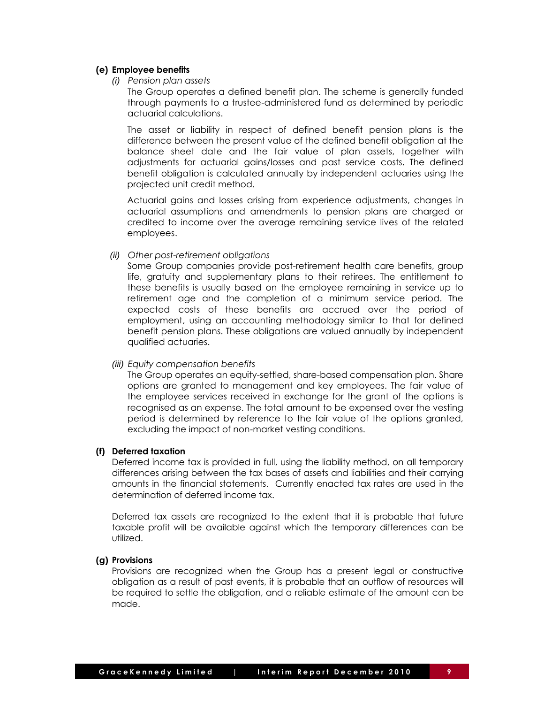#### **(e) Employee benefits**

*(i) Pension plan assets*

The Group operates a defined benefit plan. The scheme is generally funded through payments to a trustee-administered fund as determined by periodic actuarial calculations.

The asset or liability in respect of defined benefit pension plans is the difference between the present value of the defined benefit obligation at the balance sheet date and the fair value of plan assets, together with adjustments for actuarial gains/losses and past service costs. The defined benefit obligation is calculated annually by independent actuaries using the projected unit credit method.

Actuarial gains and losses arising from experience adjustments, changes in actuarial assumptions and amendments to pension plans are charged or credited to income over the average remaining service lives of the related employees.

#### *(ii) Other post-retirement obligations*

Some Group companies provide post-retirement health care benefits, group life, gratuity and supplementary plans to their retirees. The entitlement to these benefits is usually based on the employee remaining in service up to retirement age and the completion of a minimum service period. The expected costs of these benefits are accrued over the period of employment, using an accounting methodology similar to that for defined benefit pension plans. These obligations are valued annually by independent qualified actuaries.

#### *(iii) Equity compensation benefits*

The Group operates an equity-settled, share-based compensation plan. Share options are granted to management and key employees. The fair value of the employee services received in exchange for the grant of the options is recognised as an expense. The total amount to be expensed over the vesting period is determined by reference to the fair value of the options granted, excluding the impact of non-market vesting conditions.

#### **(f) Deferred taxation**

Deferred income tax is provided in full, using the liability method, on all temporary differences arising between the tax bases of assets and liabilities and their carrying amounts in the financial statements. Currently enacted tax rates are used in the determination of deferred income tax.

Deferred tax assets are recognized to the extent that it is probable that future taxable profit will be available against which the temporary differences can be utilized.

#### **(g) Provisions**

Provisions are recognized when the Group has a present legal or constructive obligation as a result of past events, it is probable that an outflow of resources will be required to settle the obligation, and a reliable estimate of the amount can be made.